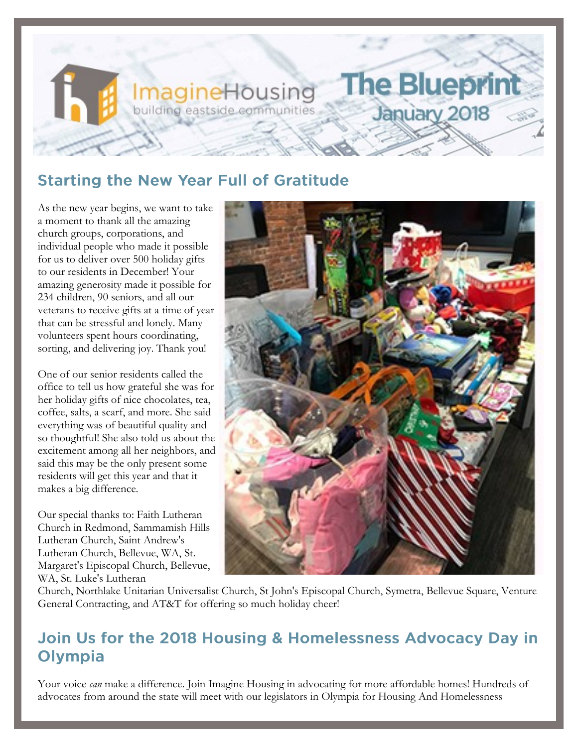# **Starting the New Year Full of Gratitude**

**ImagineHousing**<br>building eastside communities

As the new year begins, we want to take a moment to thank all the amazing church groups, corporations, and individual people who made it possible for us to deliver over 500 holiday gifts to our residents in December! Your amazing generosity made it possible for 234 children, 90 seniors, and all our veterans to receive gifts at a time of year that can be stressful and lonely. Many volunteers spent hours coordinating, sorting, and delivering joy. Thank you!

One of our senior residents called the office to tell us how grateful she was for her holiday gifts of nice chocolates, tea, coffee, salts, a scarf, and more. She said everything was of beautiful quality and so thoughtful! She also told us about the excitement among all her neighbors, and said this may be the only present some residents will get this year and that it makes a big difference.

Our special thanks to: Faith Lutheran Church in Redmond, Sammamish Hills Lutheran Church, Saint Andrew's Lutheran Church, Bellevue, WA, St. Margaret's Episcopal Church, Bellevue, WA, St. Luke's Lutheran



**The Blueprint** 

January 2018

Church, Northlake Unitarian Universalist Church, St John's Episcopal Church, Symetra, Bellevue Square, Venture General Contracting, and AT&T for offering so much holiday cheer!

#### Join Us for the 2018 Housing & Homelessness Advocacy Day in Olympia

Your voice *can* make a difference. Join Imagine Housing in advocating for more affordable homes! Hundreds of advocates from around the state will meet with our legislators in Olympia for Housing And Homelessness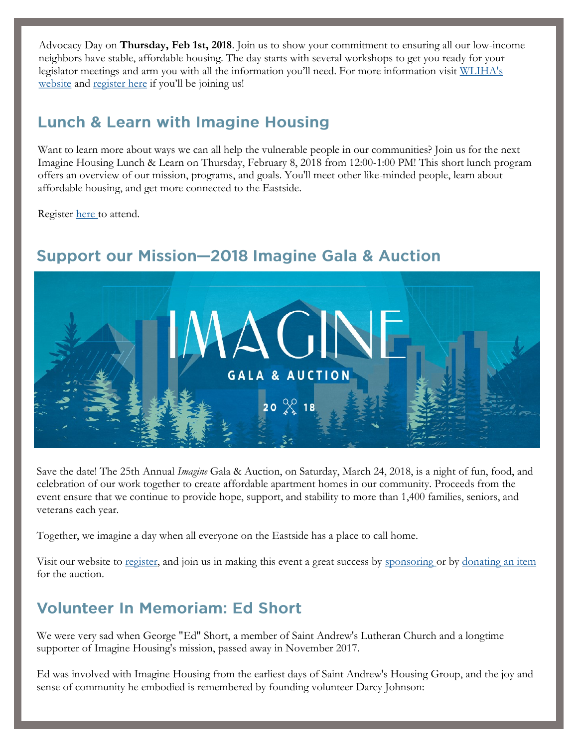Advocacy Day on **Thursday, Feb 1st, 2018**. Join us to show your commitment to ensuring all our low-income neighbors have stable, affordable housing. The day starts with several workshops to get you ready for your legislator meetings and arm you with all the information you'll need. For more information visit [WLIHA's](http://wliha.org/housing-and-homelessness-advocacy-day)  [website](http://wliha.org/housing-and-homelessness-advocacy-day) and [register here](mailto:kathrynj@imaginehousing.org) if you'll be joining us!

#### **Lunch & Learn with Imagine Housing**

Want to learn more about ways we can all help the vulnerable people in our communities? Join us for the next Imagine Housing Lunch & Learn on Thursday, February 8, 2018 from 12:00-1:00 PM! This short lunch program offers an overview of our mission, programs, and goals. You'll meet other like-minded people, learn about affordable housing, and get more connected to the Eastside.

Register [here t](http://imaginehousing.org/get-involved/events/lunch-learn-with-imagine-housing/#register)o attend.



### **Support our Mission-2018 Imagine Gala & Auction**

Save the date! The 25th Annual *Imagine* Gala & Auction, on Saturday, March 24, 2018, is a night of fun, food, and celebration of our work together to create affordable apartment homes in our community. Proceeds from the event ensure that we continue to provide hope, support, and stability to more than 1,400 families, seniors, and veterans each year.

Together, we imagine a day when all everyone on the Eastside has a place to call home.

Visit our website to [register,](https://imaginehousing.ejoinme.org/MyEvents/2018ImagineAuction/RegistertoAttend/tabid/891599/Default.aspx) and join us in making this event a great success by [sponsoring or](http://imaginehousing.org/wp-content/uploads/2018-Auction-Sponsorship-Form.pdf) by [donating an item](https://imaginehousing.ejoinme.org/MyEvents/2018ImagineAuction/DonateanItem/tabid/891601/Default.aspx) for the auction.

## **Volunteer In Memoriam: Ed Short**

We were very sad when George "Ed" Short, a member of Saint Andrew's Lutheran Church and a longtime supporter of Imagine Housing's mission, passed away in November 2017.

Ed was involved with Imagine Housing from the earliest days of Saint Andrew's Housing Group, and the joy and sense of community he embodied is remembered by founding volunteer Darcy Johnson: